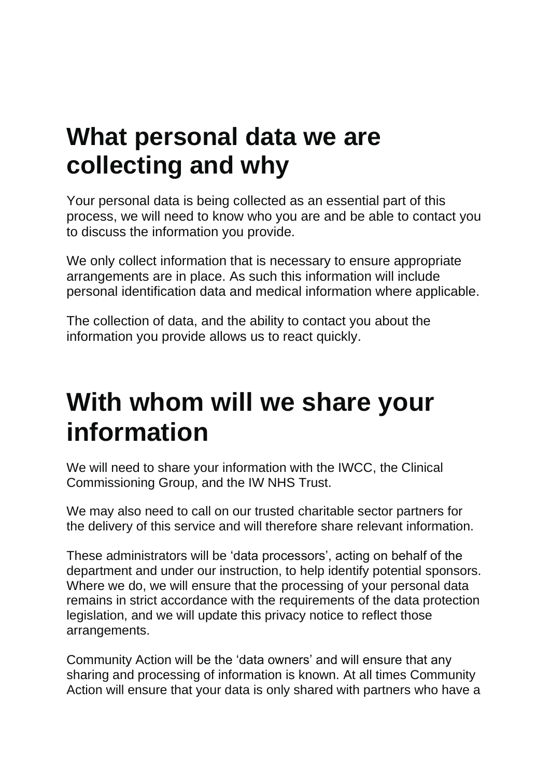## **What personal data we are collecting and why**

Your personal data is being collected as an essential part of this process, we will need to know who you are and be able to contact you to discuss the information you provide.

We only collect information that is necessary to ensure appropriate arrangements are in place. As such this information will include personal identification data and medical information where applicable.

The collection of data, and the ability to contact you about the information you provide allows us to react quickly.

## **With whom will we share your information**

We will need to share your information with the IWCC, the Clinical Commissioning Group, and the IW NHS Trust.

We may also need to call on our trusted charitable sector partners for the delivery of this service and will therefore share relevant information.

These administrators will be 'data processors', acting on behalf of the department and under our instruction, to help identify potential sponsors. Where we do, we will ensure that the processing of your personal data remains in strict accordance with the requirements of the data protection legislation, and we will update this privacy notice to reflect those arrangements.

Community Action will be the 'data owners' and will ensure that any sharing and processing of information is known. At all times Community Action will ensure that your data is only shared with partners who have a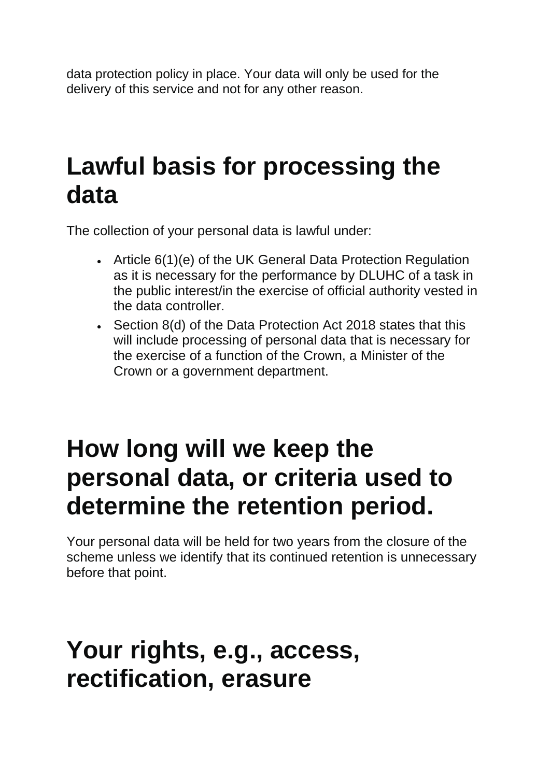data protection policy in place. Your data will only be used for the delivery of this service and not for any other reason.

## **Lawful basis for processing the data**

The collection of your personal data is lawful under:

- Article 6(1)(e) of the UK General Data Protection Regulation as it is necessary for the performance by DLUHC of a task in the public interest/in the exercise of official authority vested in the data controller.
- Section 8(d) of the Data Protection Act 2018 states that this will include processing of personal data that is necessary for the exercise of a function of the Crown, a Minister of the Crown or a government department.

## **How long will we keep the personal data, or criteria used to determine the retention period.**

Your personal data will be held for two years from the closure of the scheme unless we identify that its continued retention is unnecessary before that point.

#### **Your rights, e.g., access, rectification, erasure**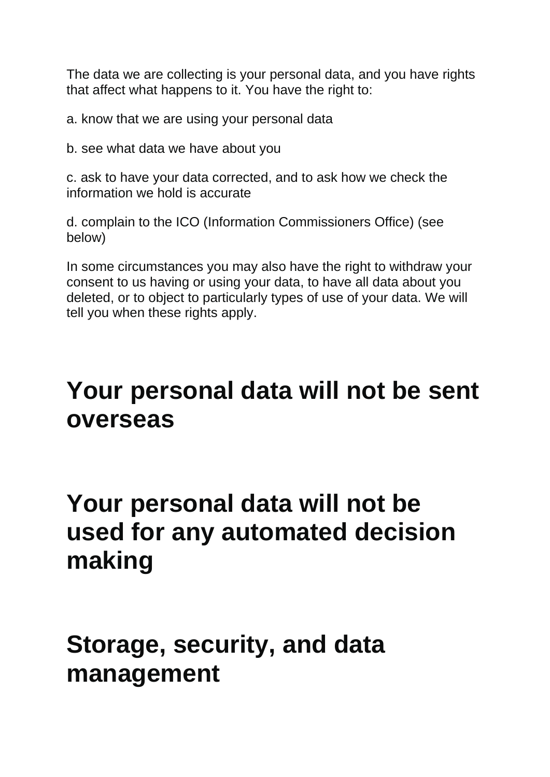The data we are collecting is your personal data, and you have rights that affect what happens to it. You have the right to:

a. know that we are using your personal data

b. see what data we have about you

c. ask to have your data corrected, and to ask how we check the information we hold is accurate

d. complain to the ICO (Information Commissioners Office) (see below)

In some circumstances you may also have the right to withdraw your consent to us having or using your data, to have all data about you deleted, or to object to particularly types of use of your data. We will tell you when these rights apply.

#### **Your personal data will not be sent overseas**

## **Your personal data will not be used for any automated decision making**

### **Storage, security, and data management**